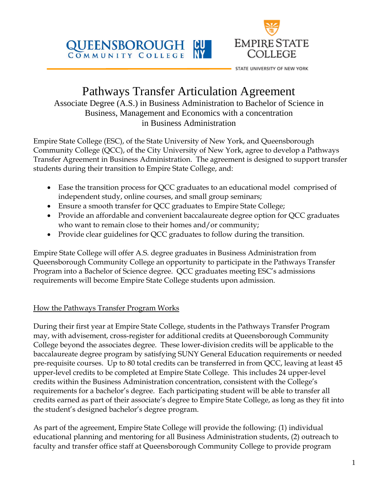



STATE UNIVERSITY OF NEW YORK

# Pathways Transfer Articulation Agreement

Associate Degree (A.S.) in Business Administration to Bachelor of Science in Business, Management and Economics with a concentration in Business Administration

Empire State College (ESC), of the State University of New York, and Queensborough Community College (QCC), of the City University of New York, agree to develop a Pathways Transfer Agreement in Business Administration. The agreement is designed to support transfer students during their transition to Empire State College, and:

- Ease the transition process for QCC graduates to an educational model comprised of independent study, online courses, and small group seminars;
- Ensure a smooth transfer for QCC graduates to Empire State College;
- Provide an affordable and convenient baccalaureate degree option for QCC graduates who want to remain close to their homes and/or community;
- Provide clear guidelines for QCC graduates to follow during the transition.

Empire State College will offer A.S. degree graduates in Business Administration from Queensborough Community College an opportunity to participate in the Pathways Transfer Program into a Bachelor of Science degree. QCC graduates meeting ESC's admissions requirements will become Empire State College students upon admission.

## How the Pathways Transfer Program Works

During their first year at Empire State College, students in the Pathways Transfer Program may, with advisement, cross-register for additional credits at Queensborough Community College beyond the associates degree. These lower-division credits will be applicable to the baccalaureate degree program by satisfying SUNY General Education requirements or needed pre-requisite courses. Up to 80 total credits can be transferred in from QCC, leaving at least 45 upper-level credits to be completed at Empire State College. This includes 24 upper-level credits within the Business Administration concentration, consistent with the College's requirements for a bachelor's degree. Each participating student will be able to transfer all credits earned as part of their associate's degree to Empire State College, as long as they fit into the student's designed bachelor's degree program.

As part of the agreement, Empire State College will provide the following: (1) individual educational planning and mentoring for all Business Administration students, (2) outreach to faculty and transfer office staff at Queensborough Community College to provide program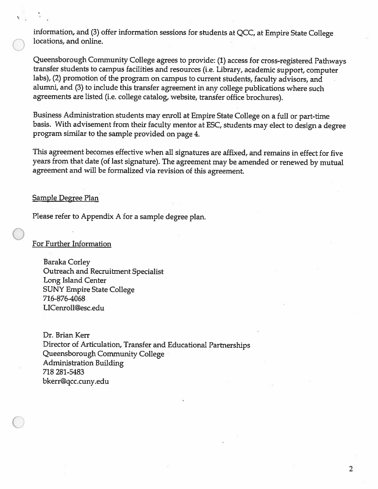information, and (3) offer information sessions for students at QCC, at Empire State College locations, and online.

Queensborough Community College agrees to provide: (1) access for cross-registered Pathways transfer students to campus facilities and resources (i.e. Library, academic support, computer labs), (2) promotion of the program on campus to current students, faculty advisors, and alumni, and (3) to include this transfer agreement in any college publications where such agreements are listed (i.e. college catalog, website, transfer office brochures).

Business Administration students may enroll at Empire State College on a full or part-time basis. With advisement from their faculty mentor at ESC, students may elect to design a degree program similar to the sample provided on page 4.

This agreement becomes effective when all signatures are affixed, and remains in effect for five years from that date (of last signature). The agreement may be amended or renewed by mutual agreement and will be formalized via revision of this agreement.

#### **Sample Degree Plan**

Please refer to Appendix A for a sample degree plan.

## For Further Information

**Baraka Corley** Outreach and Recruitment Specialist Long Island Center **SUNY Empire State College** 716-876-4068 LICenroll@esc.edu

Dr. Brian Kerr Director of Articulation, Transfer and Educational Partnerships Queensborough Community College **Administration Building** 718 281-5483 bkerr@qcc.cuny.edu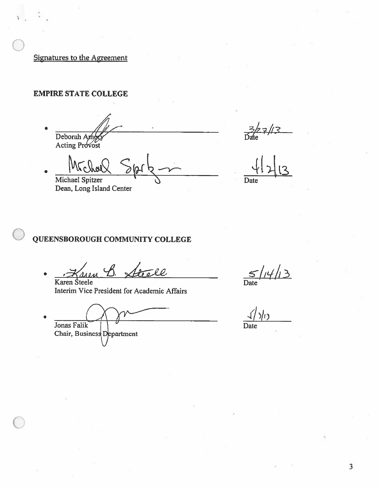Signatures to the Agreement

# **EMPIRE STATE COLLEGE**

Deborah Am Acting Provost

Michael Spitzer

Dean, Long Island Center

 $27/3$ 

Date

## QUEENSBOROUGH COMMUNITY COLLEGE

0. Karen Steele

Interim Vice President for Academic Affairs

Jonas Falik Chair, Business Department

 $5/14/13$  $\overline{\text{Date}}$ 

 $\sqrt{3}$ 

Date

 $\overline{\mathbf{3}}$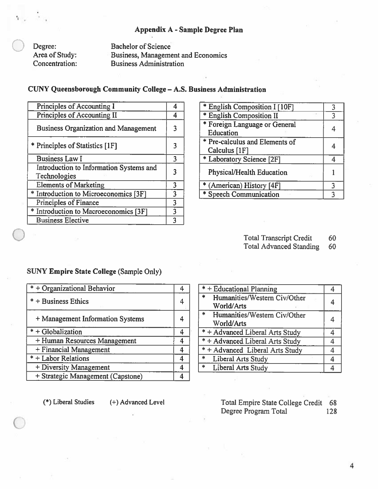## **Appendix A - Sample Degree Plan**

Degree: Area of Study: Concentration:

**Bachelor of Science Business, Management and Economics Business Administration** 

## CUNY Queensborough Community College - A.S. Business Administration

| Principles of Accounting I                              |   |
|---------------------------------------------------------|---|
| Principles of Accounting II                             |   |
| <b>Business Organization and Management</b>             |   |
| * Principles of Statistics [1F]                         |   |
| <b>Business Law I</b>                                   |   |
| Introduction to Information Systems and<br>Technologies |   |
| <b>Elements of Marketing</b>                            | 3 |
| * Introduction to Microeconomics [3F]                   |   |
| Principles of Finance                                   | 3 |
| * Introduction to Macroeconomics [3F]                   |   |
| <b>Business Elective</b>                                |   |

| * English Composition I [10F]                   |   |
|-------------------------------------------------|---|
| * English Composition II                        | 3 |
| * Foreign Language or General                   |   |
| Education                                       |   |
| * Pre-calculus and Elements of<br>Calculus [1F] |   |
| * Laboratory Science [2F]                       |   |
| <b>Physical/Health Education</b>                |   |
| * (American) History [4F]                       |   |
| * Speech Communication                          |   |
|                                                 |   |

**Total Transcript Credit** 60

**Total Advanced Standing** 60

 $\overline{4}$ 

### **SUNY Empire State College (Sample Only)**

| $* +$ Organizational Behavior     |  |
|-----------------------------------|--|
| * + Business Ethics               |  |
| + Management Information Systems  |  |
| $* +$ Globalization               |  |
| + Human Resources Management      |  |
| + Financial Management            |  |
| * + Labor Relations               |  |
| + Diversity Management            |  |
| + Strategic Management (Capstone) |  |

Humanities/Western Civ/Other \*. 4 World/Arts \* Humanities/Western Civ/Other 4 World/Arts \* + Advanced Liberal Arts Study  $\overline{4}$ \* + Advanced Liberal Arts Study  $\overline{4}$ \* + Advanced Liberal Arts Study  $\overline{4}$ **Liberal Arts Study** 串  $\overline{4}$  $\ast$ **Liberal Arts Study**  $\overline{4}$ 

\* + Educational Planning

(\*) Liberal Studies

(+) Advanced Level

Total Empire State College Credit 68 Degree Program Total 128

 $\overline{4}$